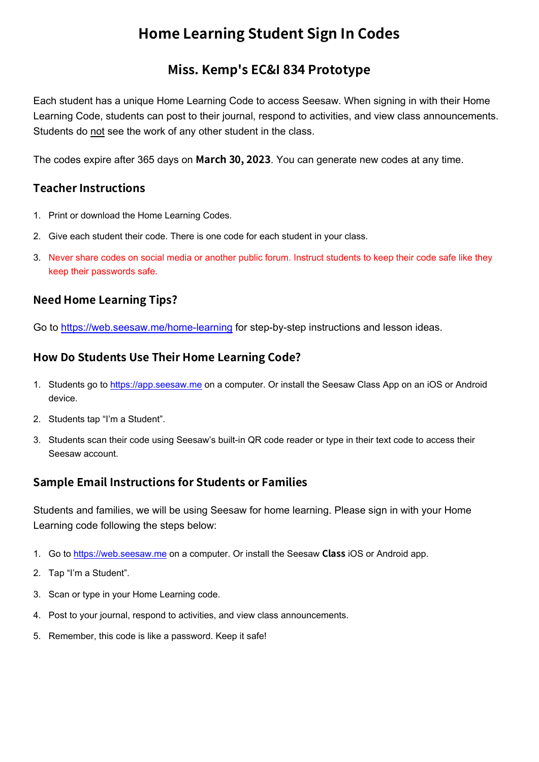## **Home Learning Student Sign In Codes**

### **Miss. Kemp's EC&I 834 Prototype**

Each student has a unique Home Learning Code to access Seesaw. When signing in with their Home Learning Code, students can post to their journal, respond to activities, and view class announcements. Students do not see the work of any other student in the class.

The codes expire after 365 days on **March 30, 2023**. You can generate new codes at any time.

#### **Teacher Instructions**

- 1. Print or download the Home Learning Codes.
- 2. Give each student their code. There is one code for each student in your class.
- 3. Never share codes on social media or another public forum. Instruct students to keep their code safe like they keep their passwords safe.

#### **Need Home Learning Tips?**

Go to<https://web.seesaw.me/home-learning>for step-by-step instructions and lesson ideas.

#### **How Do Students Use Their Home Learning Code?**

- 1. Students go to <https://app.seesaw.me>on a computer. Or install the Seesaw Class App on an iOS or Android device.
- 2. Students tap "I'm a Student".
- 3. Students scan their code using Seesaw's built-in QR code reader or type in their text code to access their Seesaw account.

#### **Sample Email Instructions for Students or Families**

Students and families, we will be using Seesaw for home learning. Please sign in with your Home Learning code following the steps below:

- 1. Go to<https://web.seesaw.me> on a computer. Or install the Seesaw **Class** iOS or Android app.
- 2. Tap "I'm a Student".
- 3. Scan or type in your Home Learning code.
- 4. Post to your journal, respond to activities, and view class announcements.
- 5. Remember, this code is like a password. Keep it safe!